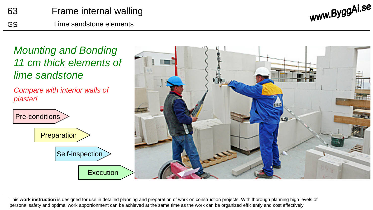www.ByggAi.se



*Compare with interior walls of plaster!*





This **work instruction** is designed for use in detailed planning and preparation of work on construction projects. With thorough planning high levels of personal safety and optimal work apportionment can be achieved at the same time as the work can be organized efficiently and cost effectively.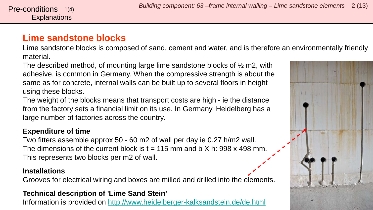### **Lime sandstone blocks**

**Explanations** 

Lime sandstone blocks is composed of sand, cement and water, and is therefore an environmentally friendly material.

The described method, of mounting large lime sandstone blocks of ½ m2, with adhesive, is common in Germany. When the compressive strength is about the same as for concrete, internal walls can be built up to several floors in height using these blocks.

The weight of the blocks means that transport costs are high - ie the distance from the factory sets a financial limit on its use. In Germany, Heidelberg has a large number of factories across the country.

#### **Expenditure of time**

Two fitters assemble approx 50 - 60 m2 of wall per day ie 0.27 h/m2 wall. The dimensions of the current block is  $t = 115$  mm and b X h: 998 x 498 mm. This represents two blocks per m2 of wall.

#### **Installations**

Grooves for electrical wiring and boxes are milled and drilled into the elements.

#### **Technical description of 'Lime Sand Stein'**

Information is provided on<http://www.heidelberger-kalksandstein.de/de.html>

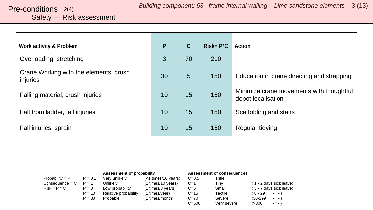## <span id="page-2-0"></span>Safety — Risk assessment

| Work activity & Problem                            | $\mathsf{P}$ | C               | $Risk = P^*C$ | Action                                                         |
|----------------------------------------------------|--------------|-----------------|---------------|----------------------------------------------------------------|
| Overloading, stretching                            | 3            | 70              | 210           |                                                                |
| Crane Working with the elements, crush<br>injuries | 30           | $5\overline{)}$ | 150           | Education in crane directing and strapping                     |
| Falling material, crush injuries                   | 10           | 15              | 150           | Minimize crane movements with thoughtful<br>depot localisation |
| Fall from ladder, fall injuries                    | 10           | 15              | 150           | Scaffolding and stairs                                         |
| Fall injuries, sprain                              | 10           | 15              | 150           | Regular tidying                                                |
|                                                    |              |                 |               |                                                                |

|                   |           | Assessment of probability |                       | <b>Assessment of consequences</b> |             |            |                               |
|-------------------|-----------|---------------------------|-----------------------|-----------------------------------|-------------|------------|-------------------------------|
| $Probability = P$ | $P = 0.1$ | Verv unlikelv             | $(<1$ times/10 years) | $C = 0.5$                         | Trifle      |            |                               |
| Consequence = C   | $P = 1$   | Unlikely                  | (1 times/10 years)    | $C=1$                             | Tiny        |            | (1 - 2 days sick leave)       |
| $Risk = P * C$    | $P = 3$   | Low probability           | (1 times/3 years)     | $C=5$                             | Small       |            | (3 - 7 days sick leave)       |
|                   | $P = 10$  | Relative probability      | (1 times/year)        | $C = 15$                          | Tactile     | ( 8 - 29   | $-$ " $-$ )                   |
|                   | $P = 30$  | Probable                  | (1 times/month)       | $C = 70$                          | Severe      | $(30-299)$ | $\cdot$ " $\cdot$ )           |
|                   |           |                           |                       | $C = 500$                         | Very severe | (>300      | $\sim$ $^{10}$ $\sim$ $^{11}$ |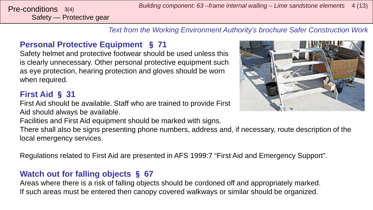Safety — Protective gear

*Text from the Working Environment Authority's brochure Safer Construction Work*

#### **Personal Protective Equipment** § **71**

Safety helmet and protective footwear should be used unless this is clearly unnecessary. Other personal protective equipment such as eye protection, hearing protection and gloves should be worn when required.

#### **First Aid** § **31**

First Aid should be available. Staff who are trained to provide First Aid should always be available.

Facilities and First Aid equipment should be marked with signs.

There shall also be signs presenting phone numbers, address and, if necessary, route description of the local emergency services.

Regulations related to First Aid are presented in AFS 1999:7 "First Aid and Emergency Support".

#### **Watch out for falling objects** § **67**

Areas where there is a risk of falling objects should be cordoned off and appropriately marked. If such areas must be entered then canopy covered walkways or similar should be organized.

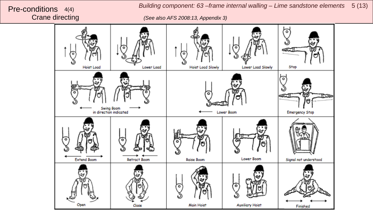*Building component: 63 –frame internal walling – Lime sandstone elements* 5 (13)<br>Crane directing (See also AFS 2008:13, Appendix 3)

Crane directing *(See also AFS 2008:13, Appendix 3)*

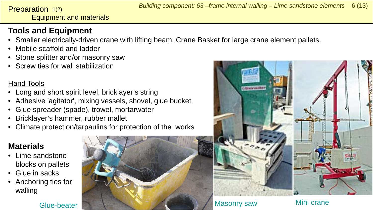<span id="page-5-0"></span>Equipment and materials Preparation 1(2)

#### **Tools and Equipment**

- Smaller electrically-driven crane with lifting beam. Crane Basket for large crane element pallets.
- Mobile scaffold and ladder
- Stone splitter and/or masonry saw
- Screw ties for wall stabilization

#### Hand Tools

- Long and short spirit level, bricklayer's string
- Adhesive 'agitator', mixing vessels, shovel, glue bucket
- Glue spreader (spade), trowel, mortarwater
- Bricklayer's hammer, rubber mallet
- Climate protection/tarpaulins for protection of the works

### **Materials**

- Lime sandstone blocks on pallets
- Glue in sacks
- Anchoring ties for walling



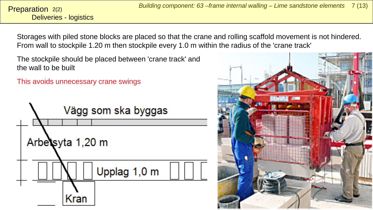Storages with piled stone blocks are placed so that the crane and rolling scaffold movement is not hindered. From wall to stockpile 1.20 m then stockpile every 1.0 m within the radius of the 'crane track'

The stockpile should be placed between 'crane track' and the wall to be built

This avoids unnecessary crane swings



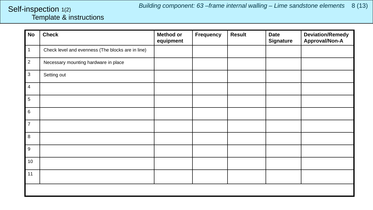#### <span id="page-7-0"></span>Template & instructions Self-inspection 1(2)

| <b>No</b>      | <b>Check</b>                                      | <b>Method or</b><br>equipment | <b>Frequency</b> | <b>Result</b> | <b>Date</b><br><b>Signature</b> | <b>Deviation/Remedy</b><br><b>Approval/Non-A</b> |
|----------------|---------------------------------------------------|-------------------------------|------------------|---------------|---------------------------------|--------------------------------------------------|
| $\mathbf{1}$   | Check level and evenness (The blocks are in line) |                               |                  |               |                                 |                                                  |
| $\overline{2}$ | Necessary mounting hardware in place              |                               |                  |               |                                 |                                                  |
| $\mathbf{3}$   | Setting out                                       |                               |                  |               |                                 |                                                  |
| $\overline{4}$ |                                                   |                               |                  |               |                                 |                                                  |
| $\sqrt{5}$     |                                                   |                               |                  |               |                                 |                                                  |
| 6              |                                                   |                               |                  |               |                                 |                                                  |
| $\overline{7}$ |                                                   |                               |                  |               |                                 |                                                  |
| 8              |                                                   |                               |                  |               |                                 |                                                  |
| 9              |                                                   |                               |                  |               |                                 |                                                  |
| 10             |                                                   |                               |                  |               |                                 |                                                  |
| 11             |                                                   |                               |                  |               |                                 |                                                  |
|                |                                                   |                               |                  |               |                                 |                                                  |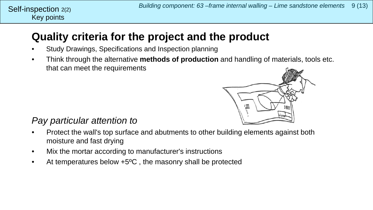# **Quality criteria for the project and the product**

- Study Drawings, Specifications and Inspection planning
- Think through the alternative **methods of production** and handling of materials, tools etc. that can meet the requirements



#### *Pay particular attention to*

- Protect the wall's top surface and abutments to other building elements against both moisture and fast drying
- Mix the mortar according to manufacturer's instructions
- At temperatures below +5<sup>o</sup>C, the masonry shall be protected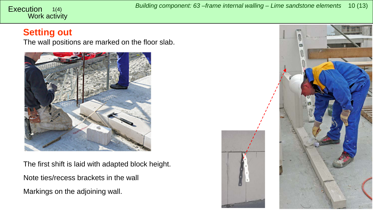#### <span id="page-9-0"></span>Work activity 1(4)

#### **Setting out**

The wall positions are marked on the floor slab.



The first shift is laid with adapted block height. Note ties/recess brackets in the wall Markings on the adjoining wall.

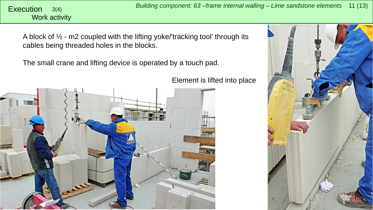Work activity

A block of  $\frac{1}{2}$  - m2 coupled with the lifting yoke/'tracking tool' through its cables being threaded holes in the blocks.

The small crane and lifting device is operated by a touch pad.

Element is lifted into place



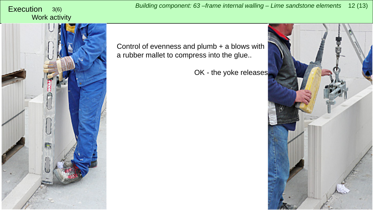# Work activity



Control of evenness and plumb + a blows with a rubber mallet to compress into the glue..

OK - the yoke releases